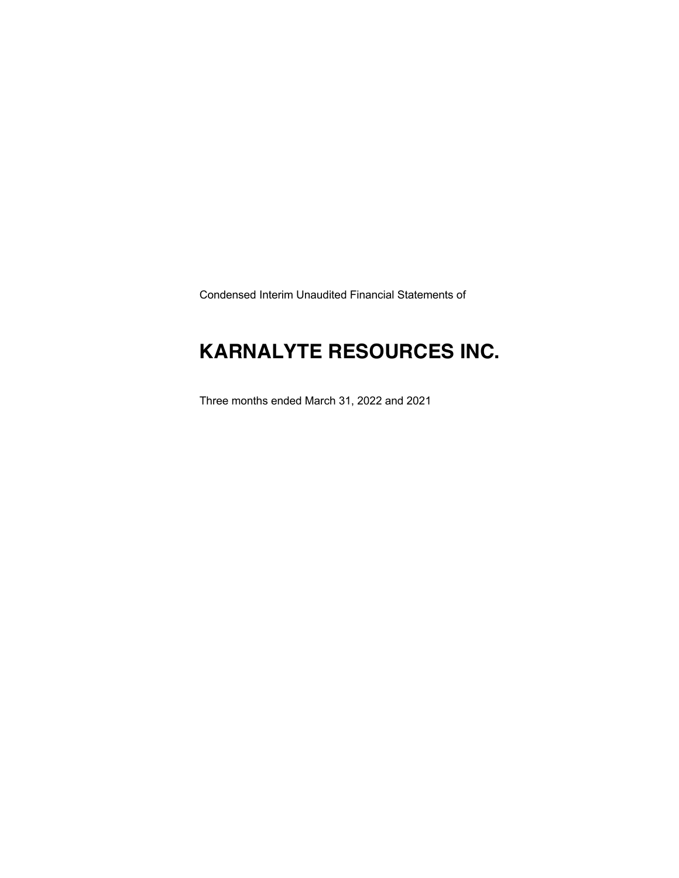Condensed Interim Unaudited Financial Statements of

### **KARNALYTE RESOURCES INC.**

Three months ended March 31, 2022 and 2021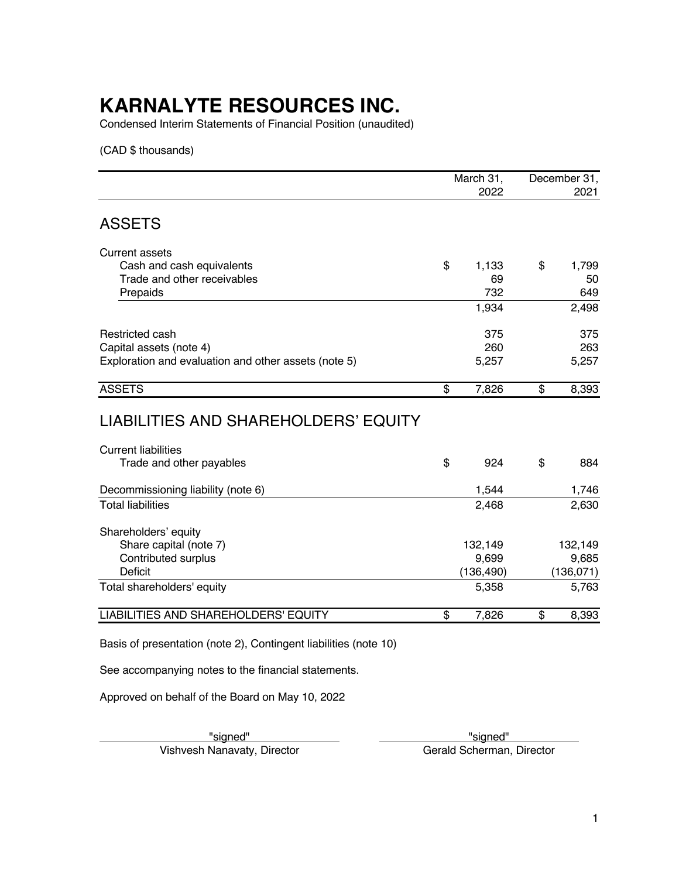Condensed Interim Statements of Financial Position (unaudited)

(CAD \$ thousands)

|                                                      | March 31,<br>2022 | December 31,<br>2021 |
|------------------------------------------------------|-------------------|----------------------|
| <b>ASSETS</b>                                        |                   |                      |
| <b>Current assets</b>                                |                   |                      |
| Cash and cash equivalents                            | \$<br>1,133       | \$<br>1,799          |
| Trade and other receivables                          | 69                | 50                   |
| Prepaids                                             | 732               | 649                  |
|                                                      | 1,934             | 2,498                |
| Restricted cash                                      | 375               | 375                  |
| Capital assets (note 4)                              | 260               | 263                  |
| Exploration and evaluation and other assets (note 5) | 5,257             | 5,257                |
| <b>ASSETS</b>                                        | \$<br>7,826       | \$<br>8,393          |
| LIABILITIES AND SHAREHOLDERS' EQUITY                 |                   |                      |
| <b>Current liabilities</b>                           |                   |                      |
| Trade and other payables                             | \$<br>924         | \$<br>884            |
| Decommissioning liability (note 6)                   | 1,544             | 1,746                |
| <b>Total liabilities</b>                             | 2,468             | 2,630                |
| Shareholders' equity                                 |                   |                      |
| Share capital (note 7)                               | 132,149           | 132,149              |
| Contributed surplus                                  | 9,699             | 9,685                |
| Deficit                                              | (136, 490)        | (136, 071)           |
| Total shareholders' equity                           | 5,358             | 5,763                |

LIABILITIES AND SHAREHOLDERS' EQUITY  $$ 7,826$  \$ 8,393

Basis of presentation (note 2), Contingent liabilities (note 10)

See accompanying notes to the financial statements.

Approved on behalf of the Board on May 10, 2022

Vishvesh Nanavaty, Director

verthisigned" verthisigned" verthisigned" verthisigned" verthisigned" verthisigned" verthisigned" verthisigned<br>
The Gerald Scherman, Director verthisigned verthisigned verthisigned verthisigned verthisigned verthisigned v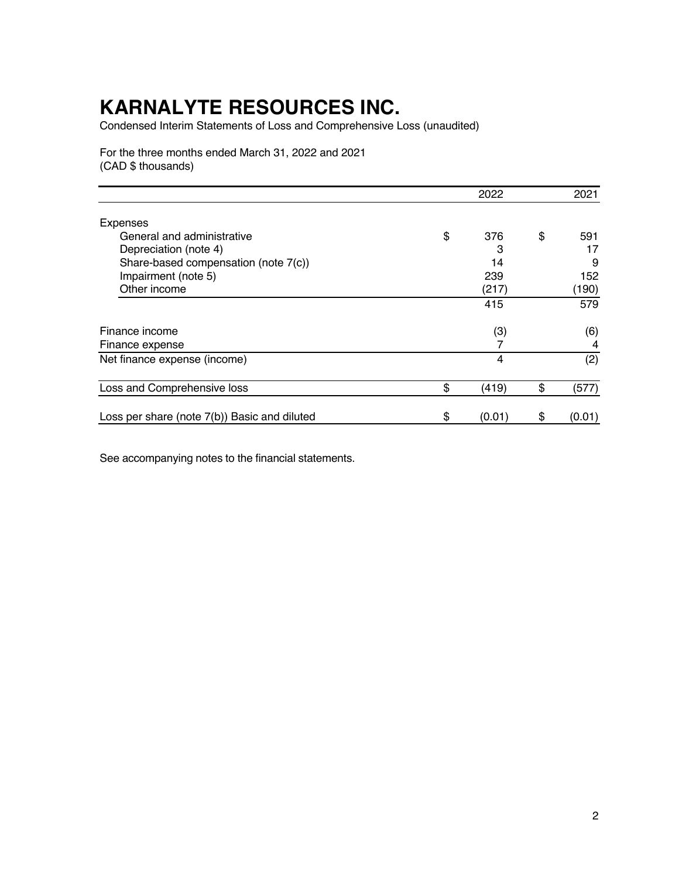Condensed Interim Statements of Loss and Comprehensive Loss (unaudited)

For the three months ended March 31, 2022 and 2021 (CAD \$ thousands)

|                                              | 2022         | 2021         |
|----------------------------------------------|--------------|--------------|
| <b>Expenses</b>                              |              |              |
| General and administrative                   | \$<br>376    | \$<br>591    |
| Depreciation (note 4)                        | 3            | 17           |
| Share-based compensation (note 7(c))         | 14           | 9            |
| Impairment (note 5)                          | 239          | 152          |
| Other income                                 | (217)        | (190)        |
|                                              | 415          | 579          |
| Finance income                               | (3)          | (6)          |
| Finance expense                              |              | 4            |
| Net finance expense (income)                 | 4            | (2)          |
| Loss and Comprehensive loss                  | \$<br>(419)  | \$<br>(577)  |
| Loss per share (note 7(b)) Basic and diluted | \$<br>(0.01) | \$<br>(0.01) |

See accompanying notes to the financial statements.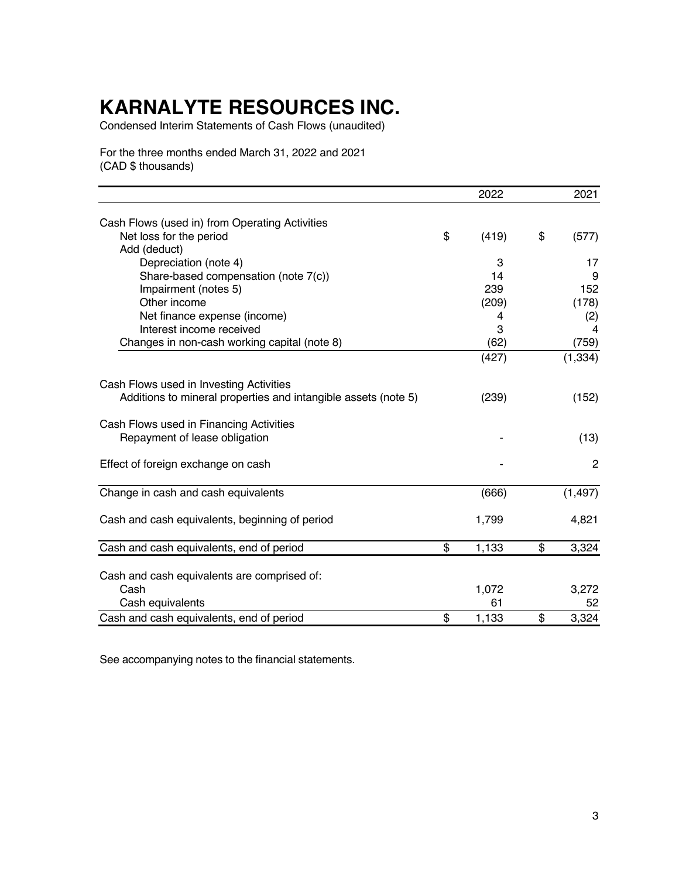Condensed Interim Statements of Cash Flows (unaudited)

For the three months ended March 31, 2022 and 2021 (CAD \$ thousands)

|                                                                | 2022        | 2021           |
|----------------------------------------------------------------|-------------|----------------|
|                                                                |             |                |
| Cash Flows (used in) from Operating Activities                 |             |                |
| Net loss for the period                                        | \$<br>(419) | \$<br>(577)    |
| Add (deduct)                                                   |             |                |
| Depreciation (note 4)                                          | 3           | 17             |
| Share-based compensation (note 7(c))                           | 14          | 9              |
| Impairment (notes 5)                                           | 239         | 152            |
| Other income                                                   | (209)       | (178)          |
| Net finance expense (income)                                   | 4           | (2)            |
| Interest income received                                       | 3           | 4              |
| Changes in non-cash working capital (note 8)                   | (62)        | (759)          |
|                                                                | (427)       | (1, 334)       |
| Cash Flows used in Investing Activities                        |             |                |
| Additions to mineral properties and intangible assets (note 5) | (239)       | (152)          |
| Cash Flows used in Financing Activities                        |             |                |
| Repayment of lease obligation                                  |             | (13)           |
| Effect of foreign exchange on cash                             |             | $\overline{2}$ |
| Change in cash and cash equivalents                            | (666)       | (1, 497)       |
| Cash and cash equivalents, beginning of period                 | 1,799       | 4,821          |
| Cash and cash equivalents, end of period                       | \$<br>1,133 | \$<br>3,324    |
|                                                                |             |                |
| Cash and cash equivalents are comprised of:                    |             |                |
| Cash                                                           | 1,072       | 3,272          |
| Cash equivalents                                               | 61          | 52             |
|                                                                | \$<br>1,133 | \$<br>3,324    |
| Cash and cash equivalents, end of period                       |             |                |

See accompanying notes to the financial statements.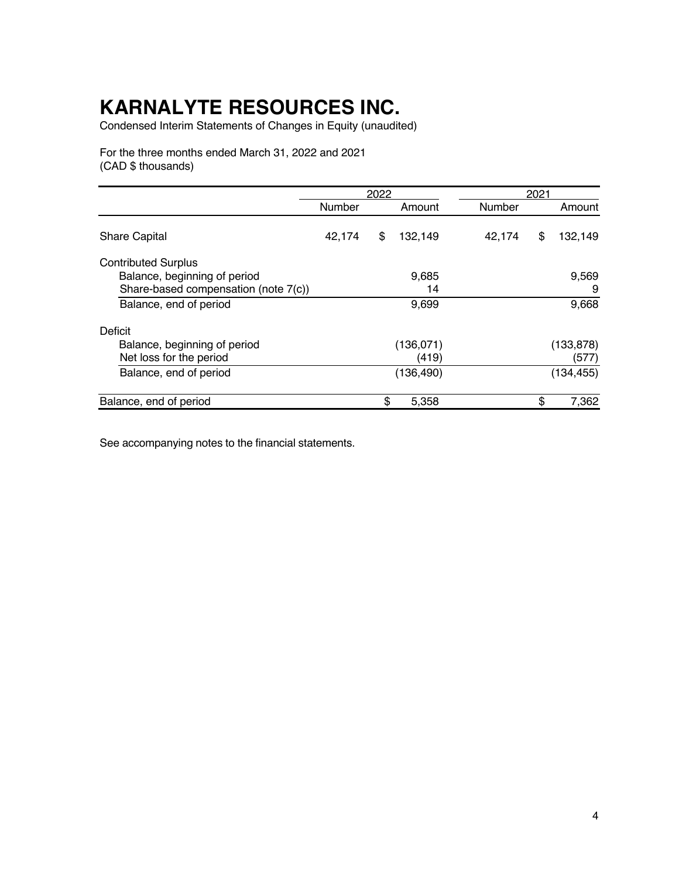Condensed Interim Statements of Changes in Equity (unaudited)

For the three months ended March 31, 2022 and 2021 (CAD \$ thousands)

|                                      |        | 2022 |            |        | 2021 |            |  |
|--------------------------------------|--------|------|------------|--------|------|------------|--|
|                                      | Number |      | Amount     | Number |      | Amount     |  |
| <b>Share Capital</b>                 | 42,174 | \$   | 132,149    | 42,174 | \$   | 132,149    |  |
| <b>Contributed Surplus</b>           |        |      |            |        |      |            |  |
| Balance, beginning of period         |        |      | 9,685      |        |      | 9,569      |  |
| Share-based compensation (note 7(c)) |        |      | 14         |        |      | 9          |  |
| Balance, end of period               |        |      | 9,699      |        |      | 9,668      |  |
| Deficit                              |        |      |            |        |      |            |  |
| Balance, beginning of period         |        |      | (136,071)  |        |      | (133, 878) |  |
| Net loss for the period              |        |      | (419)      |        |      | (577)      |  |
| Balance, end of period               |        |      | (136, 490) |        |      | (134, 455) |  |
| Balance, end of period               |        | \$   | 5,358      |        | \$   | 7,362      |  |

See accompanying notes to the financial statements.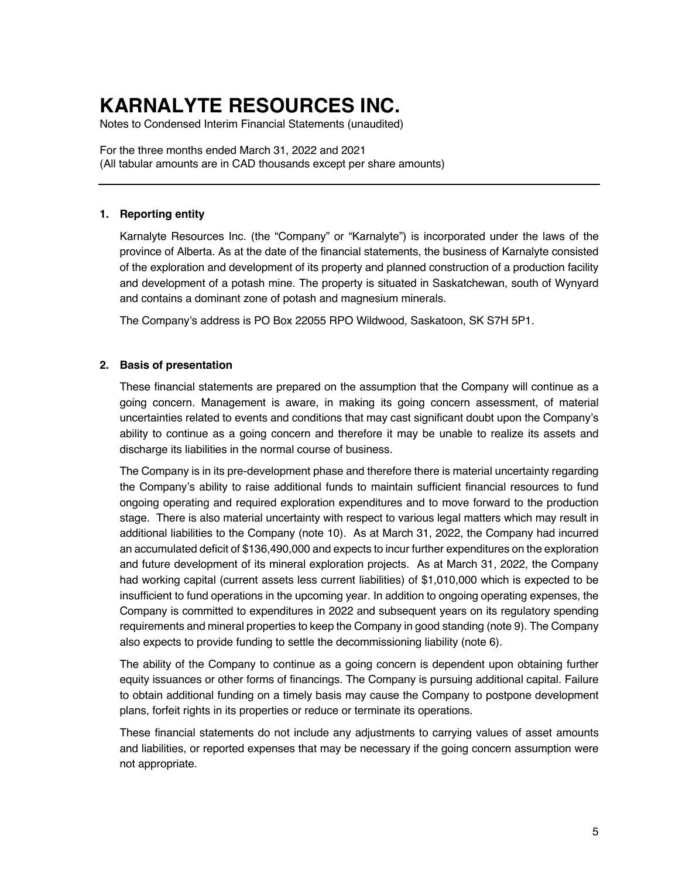Notes to Condensed Interim Financial Statements (unaudited)

For the three months ended March 31, 2022 and 2021 (All tabular amounts are in CAD thousands except per share amounts)

### **1. Reporting entity**

Karnalyte Resources Inc. (the "Company" or "Karnalyte") is incorporated under the laws of the province of Alberta. As at the date of the financial statements, the business of Karnalyte consisted of the exploration and development of its property and planned construction of a production facility and development of a potash mine. The property is situated in Saskatchewan, south of Wynyard and contains a dominant zone of potash and magnesium minerals.

The Company's address is PO Box 22055 RPO Wildwood, Saskatoon, SK S7H 5P1.

### **2. Basis of presentation**

These financial statements are prepared on the assumption that the Company will continue as a going concern. Management is aware, in making its going concern assessment, of material uncertainties related to events and conditions that may cast significant doubt upon the Company's ability to continue as a going concern and therefore it may be unable to realize its assets and discharge its liabilities in the normal course of business.

The Company is in its pre-development phase and therefore there is material uncertainty regarding the Company's ability to raise additional funds to maintain sufficient financial resources to fund ongoing operating and required exploration expenditures and to move forward to the production stage. There is also material uncertainty with respect to various legal matters which may result in additional liabilities to the Company (note 10). As at March 31, 2022, the Company had incurred an accumulated deficit of \$136,490,000 and expects to incur further expenditures on the exploration and future development of its mineral exploration projects. As at March 31, 2022, the Company had working capital (current assets less current liabilities) of \$1,010,000 which is expected to be insufficient to fund operations in the upcoming year. In addition to ongoing operating expenses, the Company is committed to expenditures in 2022 and subsequent years on its regulatory spending requirements and mineral properties to keep the Company in good standing (note 9). The Company also expects to provide funding to settle the decommissioning liability (note 6).

The ability of the Company to continue as a going concern is dependent upon obtaining further equity issuances or other forms of financings. The Company is pursuing additional capital. Failure to obtain additional funding on a timely basis may cause the Company to postpone development plans, forfeit rights in its properties or reduce or terminate its operations.

These financial statements do not include any adjustments to carrying values of asset amounts and liabilities, or reported expenses that may be necessary if the going concern assumption were not appropriate.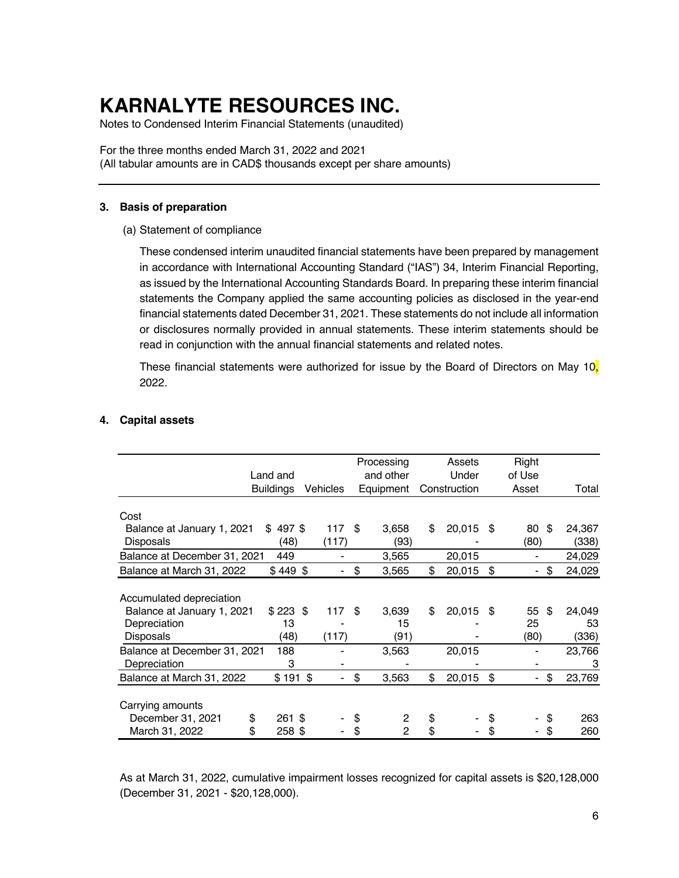Notes to Condensed Interim Financial Statements (unaudited)

For the three months ended March 31, 2022 and 2021 (All tabular amounts are in CAD\$ thousands except per share amounts)

#### **3. Basis of preparation**

(a) Statement of compliance

These condensed interim unaudited financial statements have been prepared by management in accordance with International Accounting Standard ("IAS") 34, Interim Financial Reporting, as issued by the International Accounting Standards Board. In preparing these interim financial statements the Company applied the same accounting policies as disclosed in the year-end financial statements dated December 31, 2021. These statements do not include all information or disclosures normally provided in annual statements. These interim statements should be read in conjunction with the annual financial statements and related notes.

These financial statements were authorized for issue by the Board of Directors on May 10, 2022.

|                              |                  |          | Processing           | Assets       | Right    |      |        |
|------------------------------|------------------|----------|----------------------|--------------|----------|------|--------|
|                              | Land and         |          | and other            | Under        | of Use   |      |        |
|                              | <b>Buildings</b> | Vehicles | Equipment            | Construction | Asset    |      | Total  |
|                              |                  |          |                      |              |          |      |        |
| Cost                         |                  |          |                      |              |          |      |        |
| Balance at January 1, 2021   | 497\$<br>\$      | 117      | \$<br>3,658          | \$<br>20,015 | \$<br>80 | - \$ | 24,367 |
| <b>Disposals</b>             | (48)             | (117)    | (93)                 |              | (80)     |      | (338)  |
| Balance at December 31, 2021 | 449              |          | 3,565                | 20,015       |          |      | 24,029 |
| Balance at March 31, 2022    | $$449$ \$        |          | \$<br>3,565          | \$<br>20,015 | \$       | \$   | 24,029 |
|                              |                  |          |                      |              |          |      |        |
| Accumulated depreciation     |                  |          |                      |              |          |      |        |
| Balance at January 1, 2021   | $$223$ \$        | 117      | \$<br>3,639          | \$<br>20,015 | \$<br>55 | -\$  | 24,049 |
| Depreciation                 | 13               |          | 15                   |              | 25       |      | 53     |
| Disposals                    | (48)             | (117)    | (91)                 |              | (80)     |      | (336)  |
| Balance at December 31, 2021 | 188              |          | 3,563                | 20,015       |          |      | 23,766 |
| Depreciation                 | 3                |          |                      |              |          |      | 3      |
| Balance at March 31, 2022    | $$191$ \$        |          | \$<br>3,563          | \$<br>20,015 | \$       | \$   | 23,769 |
|                              |                  |          |                      |              |          |      |        |
| Carrying amounts             |                  |          |                      |              |          |      |        |
| December 31, 2021            | \$<br>261 \$     |          | \$<br>2              | \$           | \$       | S    | 263    |
| March 31, 2022               | \$<br>258\$      |          | \$<br>$\mathfrak{p}$ | \$           | \$       | \$   | 260    |

### **4. Capital assets**

As at March 31, 2022, cumulative impairment losses recognized for capital assets is \$20,128,000 (December 31, 2021 - \$20,128,000).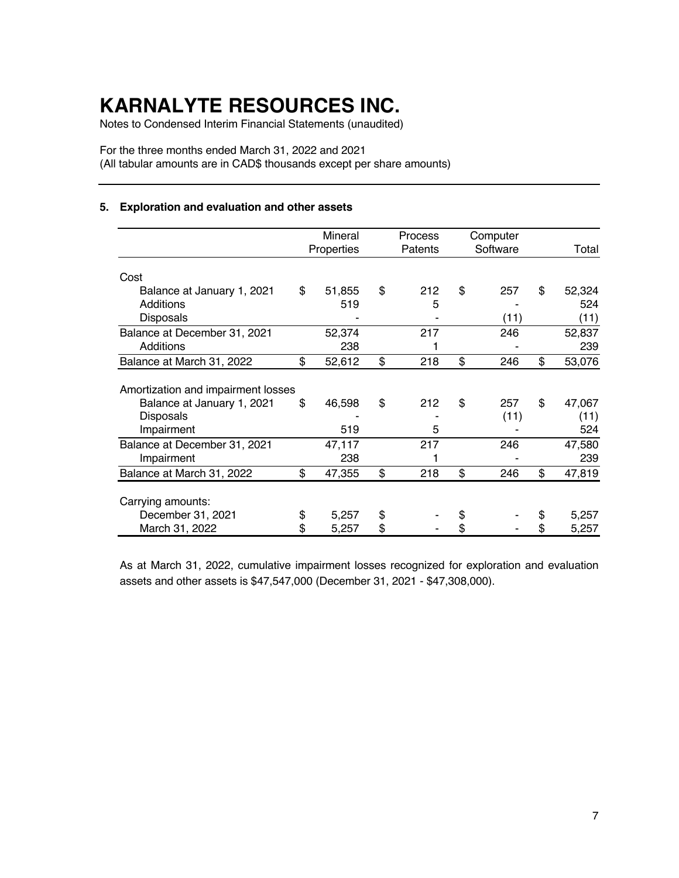Notes to Condensed Interim Financial Statements (unaudited)

For the three months ended March 31, 2022 and 2021 (All tabular amounts are in CAD\$ thousands except per share amounts)

### **5. Exploration and evaluation and other assets**

|                                    | Mineral<br>Properties | Process<br>Patents | Computer<br>Software | Total        |
|------------------------------------|-----------------------|--------------------|----------------------|--------------|
| Cost                               |                       |                    |                      |              |
| Balance at January 1, 2021         | \$<br>51,855          | \$<br>212          | \$<br>257            | \$<br>52,324 |
| Additions                          | 519                   | 5                  |                      | 524          |
| <b>Disposals</b>                   |                       |                    | (11)                 | (11)         |
| Balance at December 31, 2021       | 52,374                | 217                | 246                  | 52,837       |
| Additions                          | 238                   |                    |                      | 239          |
| Balance at March 31, 2022          | \$<br>52,612          | \$<br>218          | \$<br>246            | \$<br>53,076 |
| Amortization and impairment losses |                       |                    |                      |              |
| Balance at January 1, 2021         | \$<br>46,598          | \$<br>212          | \$<br>257            | \$<br>47,067 |
| <b>Disposals</b>                   |                       |                    | (11)                 | (11)         |
| Impairment                         | 519                   | 5                  |                      | 524          |
| Balance at December 31, 2021       | 47,117                | 217                | 246                  | 47,580       |
| Impairment                         | 238                   |                    |                      | 239          |
| Balance at March 31, 2022          | \$<br>47,355          | \$<br>218          | \$<br>246            | \$<br>47,819 |
|                                    |                       |                    |                      |              |
| Carrying amounts:                  |                       |                    |                      |              |
| December 31, 2021                  | \$<br>5,257           | \$                 |                      | \$<br>5,257  |
| March 31, 2022                     | \$<br>5,257           | \$                 |                      | \$<br>5,257  |

As at March 31, 2022, cumulative impairment losses recognized for exploration and evaluation assets and other assets is \$47,547,000 (December 31, 2021 - \$47,308,000).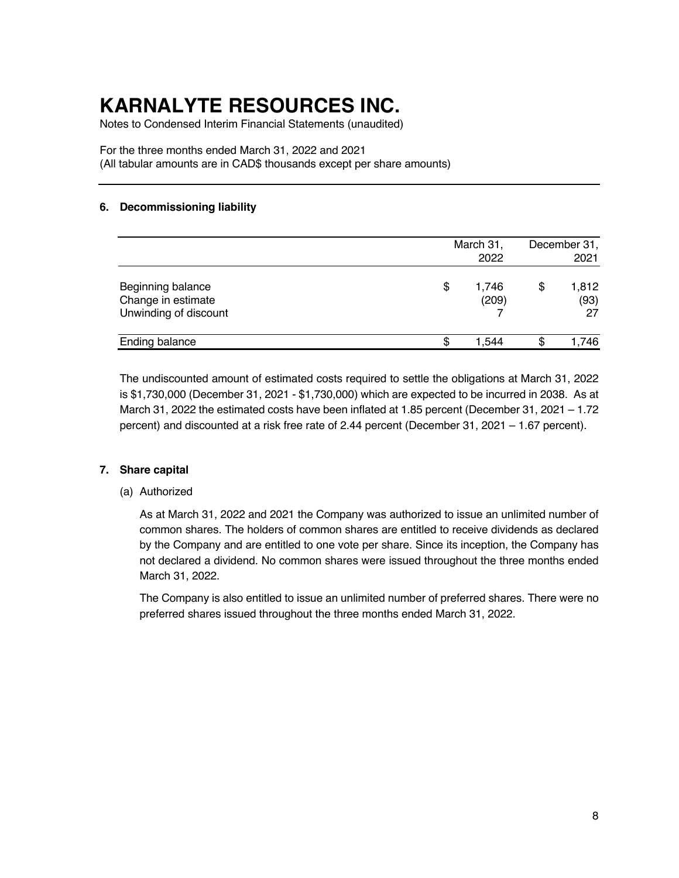Notes to Condensed Interim Financial Statements (unaudited)

For the three months ended March 31, 2022 and 2021 (All tabular amounts are in CAD\$ thousands except per share amounts)

### **6. Decommissioning liability**

|                                                                  |   | March 31,<br>2022 | December 31,<br>2021      |
|------------------------------------------------------------------|---|-------------------|---------------------------|
| Beginning balance<br>Change in estimate<br>Unwinding of discount | S | 1,746<br>(209)    | \$<br>1,812<br>(93)<br>27 |
| <b>Ending balance</b>                                            | S | 1.544             | \$<br>.746                |

The undiscounted amount of estimated costs required to settle the obligations at March 31, 2022 is \$1,730,000 (December 31, 2021 - \$1,730,000) which are expected to be incurred in 2038. As at March 31, 2022 the estimated costs have been inflated at 1.85 percent (December 31, 2021 – 1.72 percent) and discounted at a risk free rate of 2.44 percent (December 31, 2021 – 1.67 percent).

### **7. Share capital**

### (a) Authorized

As at March 31, 2022 and 2021 the Company was authorized to issue an unlimited number of common shares. The holders of common shares are entitled to receive dividends as declared by the Company and are entitled to one vote per share. Since its inception, the Company has not declared a dividend. No common shares were issued throughout the three months ended March 31, 2022.

The Company is also entitled to issue an unlimited number of preferred shares. There were no preferred shares issued throughout the three months ended March 31, 2022.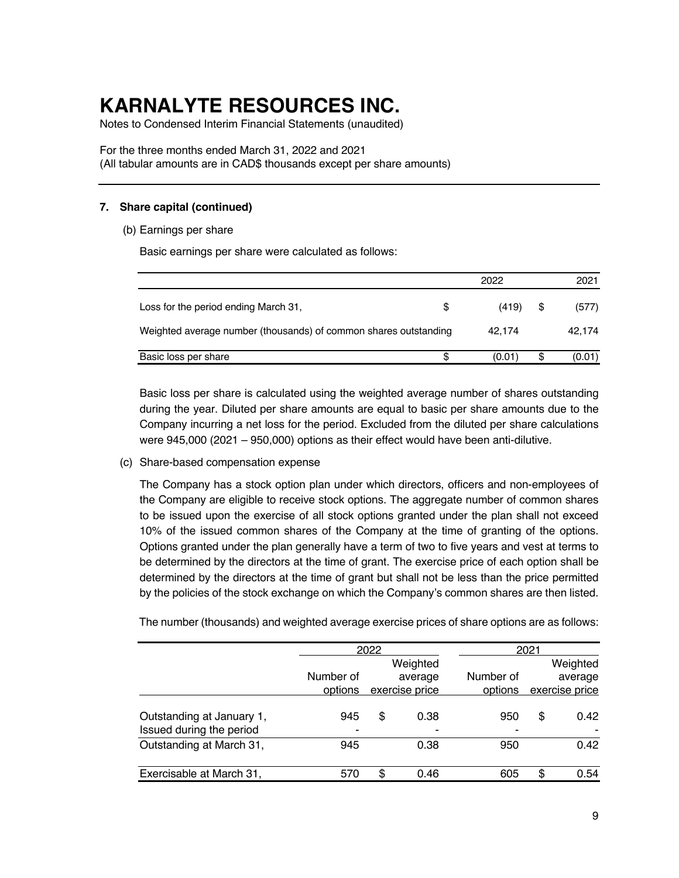Notes to Condensed Interim Financial Statements (unaudited)

For the three months ended March 31, 2022 and 2021 (All tabular amounts are in CAD\$ thousands except per share amounts)

### **7. Share capital (continued)**

(b) Earnings per share

Basic earnings per share were calculated as follows:

|                                                                  |   | 2022   |    | 2021   |
|------------------------------------------------------------------|---|--------|----|--------|
| Loss for the period ending March 31,                             | S | (419)  | \$ | (577)  |
| Weighted average number (thousands) of common shares outstanding |   | 42.174 |    | 42,174 |
| Basic loss per share                                             | S | (0.01) | S  | (0.01) |

Basic loss per share is calculated using the weighted average number of shares outstanding during the year. Diluted per share amounts are equal to basic per share amounts due to the Company incurring a net loss for the period. Excluded from the diluted per share calculations were 945,000 (2021 – 950,000) options as their effect would have been anti-dilutive.

(c) Share-based compensation expense

The Company has a stock option plan under which directors, officers and non-employees of the Company are eligible to receive stock options. The aggregate number of common shares to be issued upon the exercise of all stock options granted under the plan shall not exceed 10% of the issued common shares of the Company at the time of granting of the options. Options granted under the plan generally have a term of two to five years and vest at terms to be determined by the directors at the time of grant. The exercise price of each option shall be determined by the directors at the time of grant but shall not be less than the price permitted by the policies of the stock exchange on which the Company's common shares are then listed.

The number (thousands) and weighted average exercise prices of share options are as follows:

|                                                       |                      | 2022 |                                       |                      | 2021 |                                       |  |  |
|-------------------------------------------------------|----------------------|------|---------------------------------------|----------------------|------|---------------------------------------|--|--|
|                                                       | Number of<br>options |      | Weighted<br>average<br>exercise price | Number of<br>options |      | Weighted<br>average<br>exercise price |  |  |
| Outstanding at January 1,<br>Issued during the period | 945<br>-             | \$   | 0.38<br>۰                             | 950<br>-             | \$   | 0.42                                  |  |  |
| Outstanding at March 31,                              | 945                  |      | 0.38                                  | 950                  |      | 0.42                                  |  |  |
| Exercisable at March 31,                              | 570                  | S    | 0.46                                  | 605                  | \$   | 0.54                                  |  |  |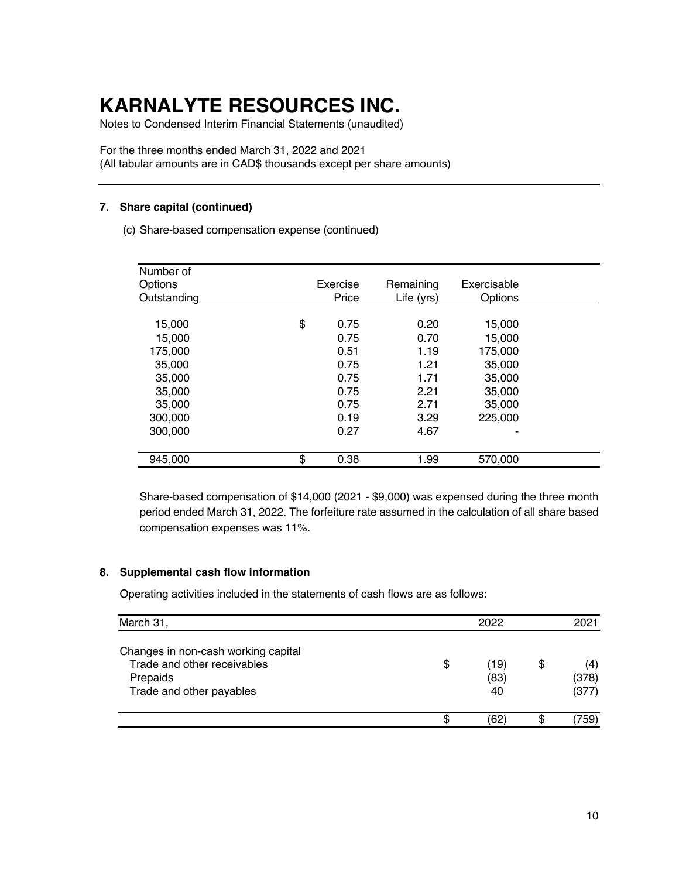Notes to Condensed Interim Financial Statements (unaudited)

For the three months ended March 31, 2022 and 2021 (All tabular amounts are in CAD\$ thousands except per share amounts)

### **7. Share capital (continued)**

(c) Share-based compensation expense (continued)

| Number of   |              |            |                |  |
|-------------|--------------|------------|----------------|--|
| Options     | Exercise     | Remaining  | Exercisable    |  |
| Outstanding | <b>Price</b> | Life (yrs) | <b>Options</b> |  |
|             |              |            |                |  |
| 15,000      | \$<br>0.75   | 0.20       | 15,000         |  |
| 15,000      | 0.75         | 0.70       | 15,000         |  |
| 175,000     | 0.51         | 1.19       | 175,000        |  |
| 35,000      | 0.75         | 1.21       | 35,000         |  |
| 35,000      | 0.75         | 1.71       | 35,000         |  |
| 35,000      | 0.75         | 2.21       | 35,000         |  |
| 35,000      | 0.75         | 2.71       | 35,000         |  |
| 300,000     | 0.19         | 3.29       | 225,000        |  |
| 300,000     | 0.27         | 4.67       |                |  |
|             |              |            |                |  |
| 945,000     | \$<br>0.38   | 1.99       | 570,000        |  |

Share-based compensation of \$14,000 (2021 - \$9,000) was expensed during the three month period ended March 31, 2022. The forfeiture rate assumed in the calculation of all share based compensation expenses was 11%.

### **8. Supplemental cash flow information**

Operating activities included in the statements of cash flows are as follows:

| March 31,                                                                                                  |    | 2021               |                             |
|------------------------------------------------------------------------------------------------------------|----|--------------------|-----------------------------|
| Changes in non-cash working capital<br>Trade and other receivables<br>Prepaids<br>Trade and other payables | \$ | (19)<br>(83)<br>40 | \$<br>(4)<br>(378)<br>(377) |
|                                                                                                            | ß. | (62                | 759,                        |